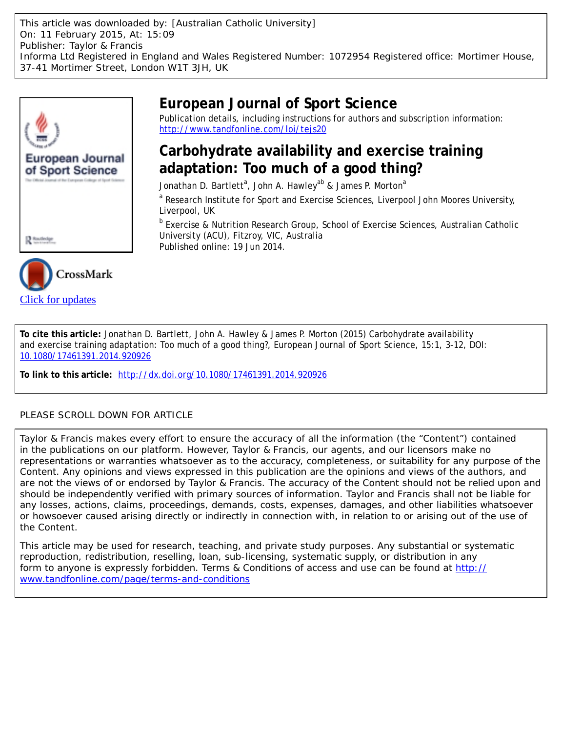This article was downloaded by: [Australian Catholic University] On: 11 February 2015, At: 15:09 Publisher: Taylor & Francis Informa Ltd Registered in England and Wales Registered Number: 1072954 Registered office: Mortimer House, 37-41 Mortimer Street, London W1T 3JH, UK



# **European Journal of Sport Science**

Publication details, including instructions for authors and subscription information: <http://www.tandfonline.com/loi/tejs20>

# **Carbohydrate availability and exercise training adaptation: Too much of a good thing?**

Jonathan D. Bartlett<sup>a</sup>, John A. Hawley<sup>ab</sup> & James P. Morton<sup>a</sup>

<sup>a</sup> Research Institute for Sport and Exercise Sciences, Liverpool John Moores University, Liverpool, UK

**b** Exercise & Nutrition Research Group, School of Exercise Sciences, Australian Catholic University (ACU), Fitzroy, VIC, Australia Published online: 19 Jun 2014.



**To cite this article:** Jonathan D. Bartlett, John A. Hawley & James P. Morton (2015) Carbohydrate availability and exercise training adaptation: Too much of a good thing?, European Journal of Sport Science, 15:1, 3-12, DOI: [10.1080/17461391.2014.920926](http://www.tandfonline.com/action/showCitFormats?doi=10.1080/17461391.2014.920926)

**To link to this article:** <http://dx.doi.org/10.1080/17461391.2014.920926>

# PLEASE SCROLL DOWN FOR ARTICLE

Taylor & Francis makes every effort to ensure the accuracy of all the information (the "Content") contained in the publications on our platform. However, Taylor & Francis, our agents, and our licensors make no representations or warranties whatsoever as to the accuracy, completeness, or suitability for any purpose of the Content. Any opinions and views expressed in this publication are the opinions and views of the authors, and are not the views of or endorsed by Taylor & Francis. The accuracy of the Content should not be relied upon and should be independently verified with primary sources of information. Taylor and Francis shall not be liable for any losses, actions, claims, proceedings, demands, costs, expenses, damages, and other liabilities whatsoever or howsoever caused arising directly or indirectly in connection with, in relation to or arising out of the use of the Content.

This article may be used for research, teaching, and private study purposes. Any substantial or systematic reproduction, redistribution, reselling, loan, sub-licensing, systematic supply, or distribution in any form to anyone is expressly forbidden. Terms & Conditions of access and use can be found at [http://](http://www.tandfonline.com/page/terms-and-conditions) [www.tandfonline.com/page/terms-and-conditions](http://www.tandfonline.com/page/terms-and-conditions)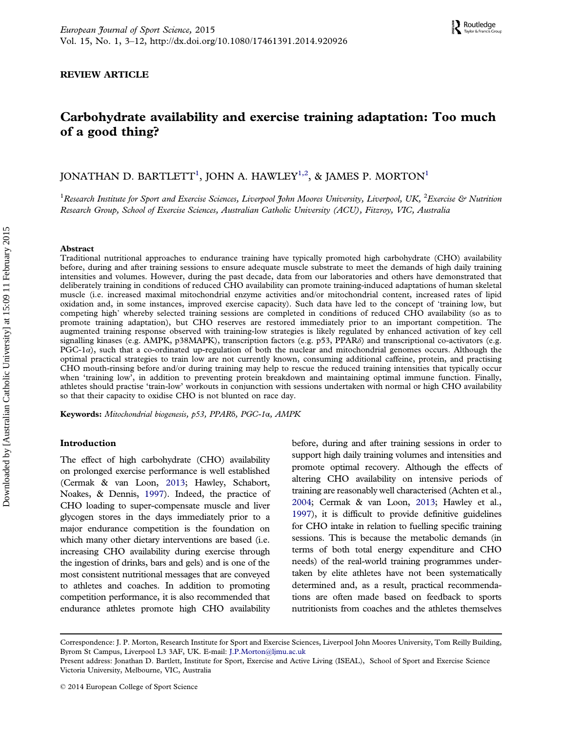## REVIEW ARTICLE

# Carbohydrate availability and exercise training adaptation: Too much of a good thing?

# JONATHAN D. BARTLETT<sup>1</sup>, JOHN A. HAWLEY $^{1,2}$ , & JAMES P. MORTON $^1$

<sup>1</sup> Research Institute for Sport and Exercise Sciences, Liverpool John Moores University, Liverpool, UK, <sup>2</sup> Exercise & Nutrition Research Group, School of Exercise Sciences, Australian Catholic University (ACU), Fitzroy, VIC, Australia

#### Abstract

Traditional nutritional approaches to endurance training have typically promoted high carbohydrate (CHO) availability before, during and after training sessions to ensure adequate muscle substrate to meet the demands of high daily training intensities and volumes. However, during the past decade, data from our laboratories and others have demonstrated that deliberately training in conditions of reduced CHO availability can promote training-induced adaptations of human skeletal muscle (i.e. increased maximal mitochondrial enzyme activities and/or mitochondrial content, increased rates of lipid oxidation and, in some instances, improved exercise capacity). Such data have led to the concept of 'training low, but competing high' whereby selected training sessions are completed in conditions of reduced CHO availability (so as to promote training adaptation), but CHO reserves are restored immediately prior to an important competition. The augmented training response observed with training-low strategies is likely regulated by enhanced activation of key cell signalling kinases (e.g. AMPK, p38MAPK), transcription factors (e.g. p53, PPARδ) and transcriptional co-activators (e.g.  $PGC-1\alpha$ ), such that a co-ordinated up-regulation of both the nuclear and mitochondrial genomes occurs. Although the optimal practical strategies to train low are not currently known, consuming additional caffeine, protein, and practising CHO mouth-rinsing before and/or during training may help to rescue the reduced training intensities that typically occur when 'training low', in addition to preventing protein breakdown and maintaining optimal immune function. Finally, athletes should practise 'train-low' workouts in conjunction with sessions undertaken with normal or high CHO availability so that their capacity to oxidise CHO is not blunted on race day.

Keywords: Mitochondrial biogenesis, p53, PPARδ, PGC-1α, AMPK

### Introduction

The effect of high carbohydrate (CHO) availability on prolonged exercise performance is well established (Cermak & van Loon, [2013;](#page-9-0) Hawley, Schabort, Noakes, & Dennis, [1997\)](#page-9-0). Indeed, the practice of CHO loading to super-compensate muscle and liver glycogen stores in the days immediately prior to a major endurance competition is the foundation on which many other dietary interventions are based (i.e. increasing CHO availability during exercise through the ingestion of drinks, bars and gels) and is one of the most consistent nutritional messages that are conveyed to athletes and coaches. In addition to promoting competition performance, it is also recommended that endurance athletes promote high CHO availability

before, during and after training sessions in order to support high daily training volumes and intensities and promote optimal recovery. Although the effects of altering CHO availability on intensive periods of training are reasonably well characterised (Achten et al., [2004](#page-8-0); Cermak & van Loon, [2013;](#page-9-0) Hawley et al., [1997](#page-9-0)), it is difficult to provide definitive guidelines for CHO intake in relation to fuelling specific training sessions. This is because the metabolic demands (in terms of both total energy expenditure and CHO needs) of the real-world training programmes undertaken by elite athletes have not been systematically determined and, as a result, practical recommendations are often made based on feedback to sports nutritionists from coaches and the athletes themselves

Correspondence: J. P. Morton, Research Institute for Sport and Exercise Sciences, Liverpool John Moores University, Tom Reilly Building, Byrom St Campus, Liverpool L3 3AF, UK. E-mail: [J.P.Morton@ljmu.ac.uk](mailto:J.P.Morton@ljmu.ac.uk)

Present address: Jonathan D. Bartlett, Institute for Sport, Exercise and Active Living (ISEAL), School of Sport and Exercise Science Victoria University, Melbourne, VIC, Australia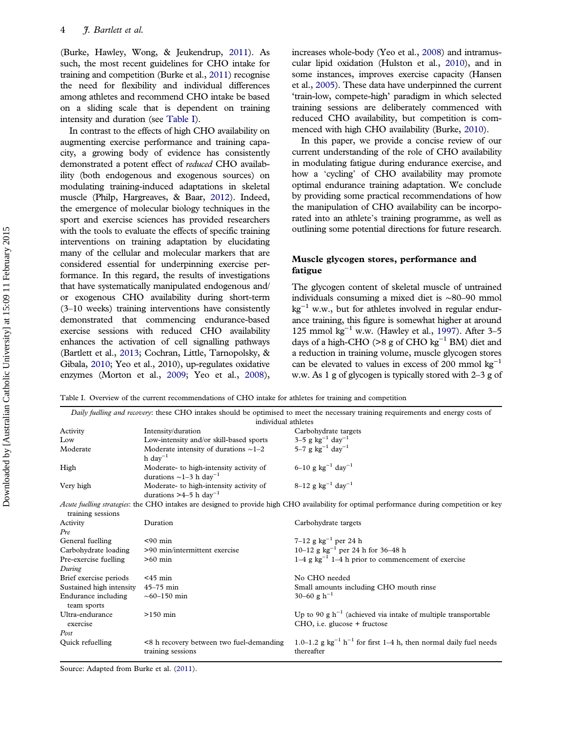(Burke, Hawley, Wong, & Jeukendrup, [2011](#page-9-0)). As such, the most recent guidelines for CHO intake for training and competition (Burke et al., [2011\)](#page-9-0) recognise the need for flexibility and individual differences among athletes and recommend CHO intake be based on a sliding scale that is dependent on training intensity and duration (see Table I).

In contrast to the effects of high CHO availability on augmenting exercise performance and training capacity, a growing body of evidence has consistently demonstrated a potent effect of reduced CHO availability (both endogenous and exogenous sources) on modulating training-induced adaptations in skeletal muscle (Philp, Hargreaves, & Baar, [2012\)](#page-9-0). Indeed, the emergence of molecular biology techniques in the sport and exercise sciences has provided researchers with the tools to evaluate the effects of specific training interventions on training adaptation by elucidating many of the cellular and molecular markers that are considered essential for underpinning exercise performance. In this regard, the results of investigations that have systematically manipulated endogenous and/ or exogenous CHO availability during short-term (3–10 weeks) training interventions have consistently demonstrated that commencing endurance-based exercise sessions with reduced CHO availability enhances the activation of cell signalling pathways (Bartlett et al., [2013;](#page-9-0) Cochran, Little, Tarnopolsky, & Gibala, [2010](#page-9-0); Yeo et al., 2010), up-regulates oxidative enzymes (Morton et al., [2009;](#page-9-0) Yeo et al., [2008](#page-10-0)),

increases whole-body (Yeo et al., [2008\)](#page-10-0) and intramuscular lipid oxidation (Hulston et al., [2010\)](#page-9-0), and in some instances, improves exercise capacity (Hansen et al., [2005\)](#page-9-0). These data have underpinned the current 'train-low, compete-high' paradigm in which selected training sessions are deliberately commenced with reduced CHO availability, but competition is commenced with high CHO availability (Burke, [2010](#page-9-0)).

In this paper, we provide a concise review of our current understanding of the role of CHO availability in modulating fatigue during endurance exercise, and how a 'cycling' of CHO availability may promote optimal endurance training adaptation. We conclude by providing some practical recommendations of how the manipulation of CHO availability can be incorporated into an athlete's training programme, as well as outlining some potential directions for future research.

# Muscle glycogen stores, performance and fatigue

The glycogen content of skeletal muscle of untrained individuals consuming a mixed diet is ∼80–90 mmol  $kg^{-1}$  w.w., but for athletes involved in regular endurance training, this figure is somewhat higher at around 125 mmol  $kg^{-1}$  w.w. (Hawley et al., [1997\)](#page-9-0). After 3–5 days of a high-CHO (>8 g of CHO  $kg^{-1}$  BM) diet and a reduction in training volume, muscle glycogen stores can be elevated to values in excess of 200 mmol kg<sup>-1</sup> w.w. As 1 g of glycogen is typically stored with 2–3 g of

Table I. Overview of the current recommendations of CHO intake for athletes for training and competition

|                                    |                                                                                     | Daily fuelling and recovery: these CHO intakes should be optimised to meet the necessary training requirements and energy costs of         |
|------------------------------------|-------------------------------------------------------------------------------------|--------------------------------------------------------------------------------------------------------------------------------------------|
|                                    | individual athletes                                                                 |                                                                                                                                            |
| Activity                           | Intensity/duration                                                                  | Carbohydrate targets                                                                                                                       |
| Low                                | Low-intensity and/or skill-based sports                                             | $3-5$ g kg <sup>-1</sup> day <sup>-1</sup>                                                                                                 |
| Moderate                           | Moderate intensity of durations $\sim$ 1–2<br>$h \, \text{dav}^{-1}$                | 5–7 g $kg^{-1}$ day <sup>-1</sup>                                                                                                          |
| High                               | Moderate- to high-intensity activity of<br>durations $\sim$ 1–3 h day <sup>-1</sup> | $6-10$ g kg <sup>-1</sup> day <sup>-1</sup>                                                                                                |
| Very high                          | Moderate- to high-intensity activity of<br>durations $>4-5$ h day <sup>-1</sup>     | $8-12$ g kg <sup>-1</sup> day <sup>-1</sup>                                                                                                |
| training sessions                  |                                                                                     | Acute fuelling strategies: the CHO intakes are designed to provide high CHO availability for optimal performance during competition or key |
| Activity                           | Duration                                                                            | Carbohydrate targets                                                                                                                       |
| Pre                                |                                                                                     |                                                                                                                                            |
| General fuelling                   | $50$ min                                                                            | $7-12$ g kg <sup>-1</sup> per 24 h                                                                                                         |
| Carbohydrate loading               | >90 min/intermittent exercise                                                       | 10-12 g $\text{kg}^{-1}$ per 24 h for 36-48 h                                                                                              |
| Pre-exercise fuelling              | $>60$ min                                                                           | $1-4$ g kg <sup>-1</sup> 1-4 h prior to commencement of exercise                                                                           |
| During                             |                                                                                     |                                                                                                                                            |
| Brief exercise periods             | $<$ 45 min                                                                          | No CHO needed                                                                                                                              |
| Sustained high intensity           | $45 - 75$ min                                                                       | Small amounts including CHO mouth rinse                                                                                                    |
| Endurance including<br>team sports | $\sim$ 60–150 min                                                                   | 30–60 g $h^{-1}$                                                                                                                           |
| Ultra-endurance<br>exercise        | $>150$ min                                                                          | Up to 90 $\text{g h}^{-1}$ (achieved via intake of multiple transportable<br>CHO, i.e. glucose + fructose                                  |
| Post                               |                                                                                     |                                                                                                                                            |
| Quick refuelling                   | <8 h recovery between two fuel-demanding<br>training sessions                       | 1.0–1.2 g $\text{kg}^{-1}$ h <sup>-1</sup> for first 1–4 h, then normal daily fuel needs<br>thereafter                                     |

Source: Adapted from Burke et al. [\(2011\)](#page-9-0).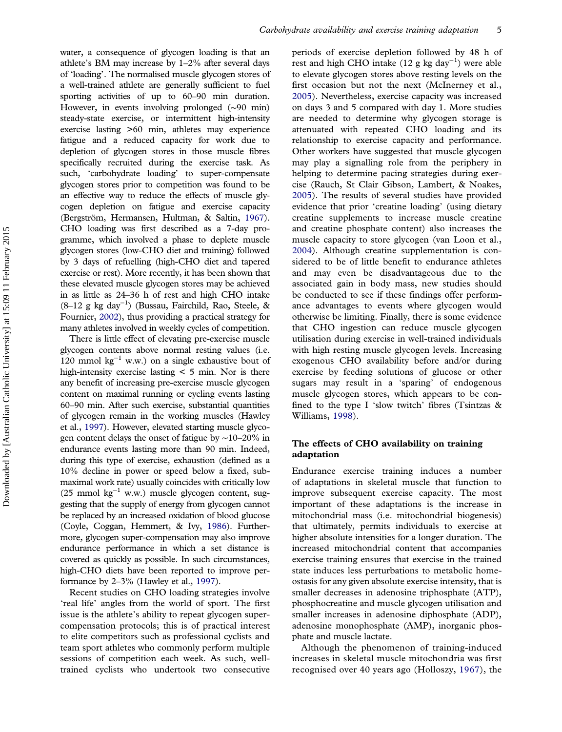water, a consequence of glycogen loading is that an athlete's BM may increase by 1–2% after several days of 'loading'. The normalised muscle glycogen stores of a well-trained athlete are generally sufficient to fuel sporting activities of up to 60–90 min duration. However, in events involving prolonged (∼90 min) steady-state exercise, or intermittent high-intensity exercise lasting >60 min, athletes may experience fatigue and a reduced capacity for work due to depletion of glycogen stores in those muscle fibres specifically recruited during the exercise task. As such, 'carbohydrate loading' to super-compensate glycogen stores prior to competition was found to be an effective way to reduce the effects of muscle gly‐ cogen depletion on fatigue and exercise capacity (Bergström, Hermansen, Hultman, & Saltin, [1967](#page-9-0)). CHO loading was first described as a 7-day programme, which involved a phase to deplete muscle

(8–12 g kg day−<sup>1</sup> ) (Bussau, Fairchild, Rao, Steele, & Fournier, [2002](#page-9-0)), thus providing a practical strategy for many athletes involved in weekly cycles of competition. There is little effect of elevating pre-exercise muscle glycogen contents above normal resting values (i.e. 120 mmol kg−<sup>1</sup> w.w.) on a single exhaustive bout of high-intensity exercise lasting  $\lt$  5 min. Nor is there any benefit of increasing pre-exercise muscle glycogen content on maximal running or cycling events lasting 60–90 min. After such exercise, substantial quantities of glycogen remain in the working muscles (Hawley et al., [1997](#page-9-0)). However, elevated starting muscle glycogen content delays the onset of fatigue by ∼10–20% in endurance events lasting more than 90 min. Indeed, during this type of exercise, exhaustion (defined as a 10% decline in power or speed below a fixed, submaximal work rate) usually coincides with critically low (25 mmol  $kg^{-1}$  w.w.) muscle glycogen content, suggesting that the supply of energy from glycogen cannot be replaced by an increased oxidation of blood glucose (Coyle, Coggan, Hemmert, & Ivy, [1986\)](#page-9-0). Furthermore, glycogen super-compensation may also improve endurance performance in which a set distance is covered as quickly as possible. In such circumstances, high-CHO diets have been reported to improve per-

glycogen stores (low-CHO diet and training) followed by 3 days of refuelling (high-CHO diet and tapered exercise or rest). More recently, it has been shown that these elevated muscle glycogen stores may be achieved in as little as 24–36 h of rest and high CHO intake

Recent studies on CHO loading strategies involve 'real life' angles from the world of sport. The first issue is the athlete's ability to repeat glycogen supercompensation protocols; this is of practical interest to elite competitors such as professional cyclists and team sport athletes who commonly perform multiple sessions of competition each week. As such, welltrained cyclists who undertook two consecutive

formance by 2–3% (Hawley et al., [1997](#page-9-0)).

periods of exercise depletion followed by 48 h of rest and high CHO intake (12 g kg day−<sup>1</sup> ) were able to elevate glycogen stores above resting levels on the first occasion but not the next (McInerney et al., [2005](#page-9-0)). Nevertheless, exercise capacity was increased on days 3 and 5 compared with day 1. More studies are needed to determine why glycogen storage is attenuated with repeated CHO loading and its relationship to exercise capacity and performance. Other workers have suggested that muscle glycogen may play a signalling role from the periphery in helping to determine pacing strategies during exercise (Rauch, St Clair Gibson, Lambert, & Noakes, [2005](#page-10-0)). The results of several studies have provided evidence that prior 'creatine loading' (using dietary creatine supplements to increase muscle creatine and creatine phosphate content) also increases the muscle capacity to store glycogen (van Loon et al., [2004](#page-10-0)). Although creatine supplementation is considered to be of little benefit to endurance athletes and may even be disadvantageous due to the associated gain in body mass, new studies should be conducted to see if these findings offer performance advantages to events where glycogen would otherwise be limiting. Finally, there is some evidence that CHO ingestion can reduce muscle glycogen utilisation during exercise in well-trained individuals with high resting muscle glycogen levels. Increasing exogenous CHO availability before and/or during exercise by feeding solutions of glucose or other sugars may result in a 'sparing' of endogenous muscle glycogen stores, which appears to be confined to the type I 'slow twitch' fibres (Tsintzas & Williams, [1998\)](#page-10-0).

## The effects of CHO availability on training adaptation

Endurance exercise training induces a number of adaptations in skeletal muscle that function to improve subsequent exercise capacity. The most important of these adaptations is the increase in mitochondrial mass (i.e. mitochondrial biogenesis) that ultimately, permits individuals to exercise at higher absolute intensities for a longer duration. The increased mitochondrial content that accompanies exercise training ensures that exercise in the trained state induces less perturbations to metabolic homeostasis for any given absolute exercise intensity, that is smaller decreases in adenosine triphosphate (ATP), phosphocreatine and muscle glycogen utilisation and smaller increases in adenosine diphosphate (ADP), adenosine monophosphate (AMP), inorganic phosphate and muscle lactate.

Although the phenomenon of training-induced increases in skeletal muscle mitochondria was first recognised over 40 years ago (Holloszy, [1967](#page-9-0)), the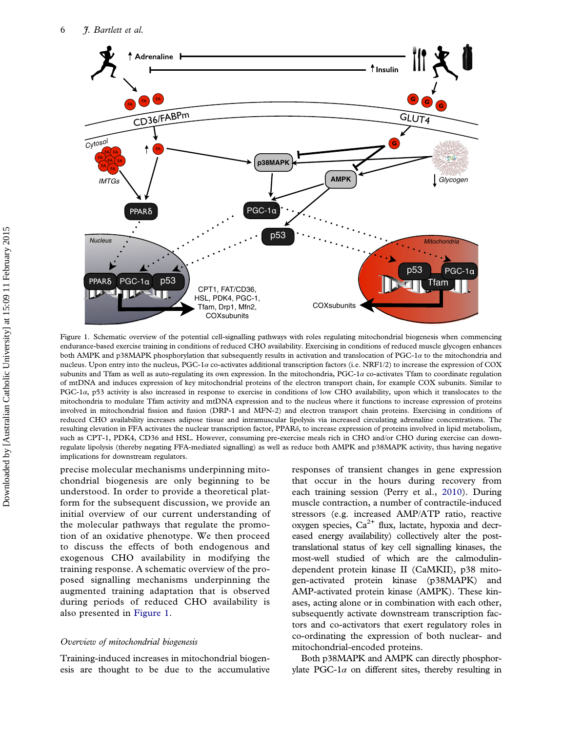

Figure 1. Schematic overview of the potential cell-signalling pathways with roles regulating mitochondrial biogenesis when commencing endurance-based exercise training in conditions of reduced CHO availability. Exercising in conditions of reduced muscle glycogen enhances both AMPK and p38MAPK phosphorylation that subsequently results in activation and translocation of PGC-1 $\alpha$  to the mitochondria and nucleus. Upon entry into the nucleus, PGC-1 $\alpha$  co-activates additional transcription factors (i.e. NRF1/2) to increase the expression of COX subunits and Tfam as well as auto-regulating its own expression. In the mitochondria,  $PGC-1\alpha$  co-activates Tfam to coordinate regulation of mtDNA and induces expression of key mitochondrial proteins of the electron transport chain, for example COX subunits. Similar to  $PGC-1\alpha$ , p53 activity is also increased in response to exercise in conditions of low CHO availability, upon which it translocates to the mitochondria to modulate Tfam activity and mtDNA expression and to the nucleus where it functions to increase expression of proteins involved in mitochondrial fission and fusion (DRP-1 and MFN-2) and electron transport chain proteins. Exercising in conditions of reduced CHO availability increases adipose tissue and intramuscular lipolysis via increased circulating adrenaline concentrations. The resulting elevation in FFA activates the nuclear transcription factor, PPARδ, to increase expression of proteins involved in lipid metabolism, such as CPT-1, PDK4, CD36 and HSL. However, consuming pre-exercise meals rich in CHO and/or CHO during exercise can downregulate lipolysis (thereby negating FFA-mediated signalling) as well as reduce both AMPK and p38MAPK activity, thus having negative implications for downstream regulators.

precise molecular mechanisms underpinning mitochondrial biogenesis are only beginning to be understood. In order to provide a theoretical plat‐ form for the subsequent discussion, we provide an initial overview of our current understanding of the molecular pathways that regulate the promotion of an oxidative phenotype. We then proceed to discuss the effects of both endogenous and exogenous CHO availability in modifying the training response. A schematic overview of the proposed signalling mechanisms underpinning the augmented training adaptation that is observed during periods of reduced CHO availability is also presented in Figure 1.

# Overview of mitochondrial biogenesis

Training-induced increases in mitochondrial biogenesis are thought to be due to the accumulative responses of transient changes in gene expression that occur in the hours during recovery from each training session (Perry et al., [2010\)](#page-9-0). During muscle contraction, a number of contractile-induced stressors (e.g. increased AMP/ATP ratio, reactive oxygen species,  $Ca^{2+}$  flux, lactate, hypoxia and decreased energy availability) collectively alter the posttranslational status of key cell signalling kinases, the most-well studied of which are the calmodulindependent protein kinase II (CaMKII), p38 mitogen-activated protein kinase (p38MAPK) and AMP-activated protein kinase (AMPK). These kinases, acting alone or in combination with each other, subsequently activate downstream transcription factors and co-activators that exert regulatory roles in co-ordinating the expression of both nuclear- and mitochondrial-encoded proteins.

Both p38MAPK and AMPK can directly phosphorylate PGC-1 $\alpha$  on different sites, thereby resulting in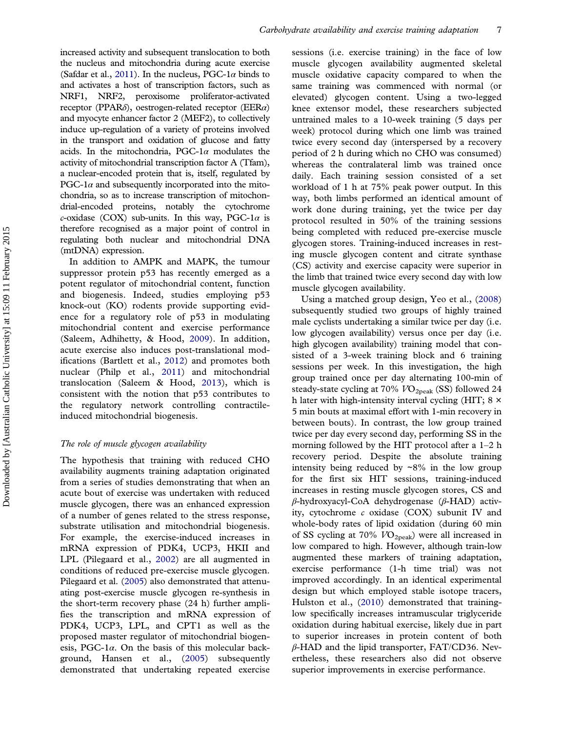increased activity and subsequent translocation to both the nucleus and mitochondria during acute exercise (Safdar et al., [2011](#page-10-0)). In the nucleus, PGC-1 $\alpha$  binds to and activates a host of transcription factors, such as NRF1, NRF2, peroxisome proliferator-activated receptor (PPAR $\delta$ ), oestrogen-related receptor (EER $\alpha$ ) and myocyte enhancer factor 2 (MEF2), to collectively induce up-regulation of a variety of proteins involved in the transport and oxidation of glucose and fatty acids. In the mitochondria, PGC-1 $\alpha$  modulates the activity of mitochondrial transcription factor A (Tfam), a nuclear-encoded protein that is, itself, regulated by PGC-1 $\alpha$  and subsequently incorporated into the mitochondria, so as to increase transcription of mitochondrial-encoded proteins, notably the cytochrome c-oxidase (COX) sub-units. In this way, PGC-1 $\alpha$  is therefore recognised as a major point of control in regulating both nuclear and mitochondrial DNA (mtDNA) expression.

In addition to AMPK and MAPK, the tumour suppressor protein p53 has recently emerged as a potent regulator of mitochondrial content, function and biogenesis. Indeed, studies employing p53 knock-out (KO) rodents provide supporting evidence for a regulatory role of p53 in modulating mitochondrial content and exercise performance (Saleem, Adhihetty, & Hood, [2009](#page-10-0)). In addition, acute exercise also induces post-translational modifications (Bartlett et al., [2012\)](#page-8-0) and promotes both nuclear (Philp et al., [2011\)](#page-9-0) and mitochondrial translocation (Saleem & Hood, [2013](#page-10-0)), which is consistent with the notion that p53 contributes to the regulatory network controlling contractileinduced mitochondrial biogenesis.

### The role of muscle glycogen availability

The hypothesis that training with reduced CHO availability augments training adaptation originated from a series of studies demonstrating that when an acute bout of exercise was undertaken with reduced muscle glycogen, there was an enhanced expression of a number of genes related to the stress response, substrate utilisation and mitochondrial biogenesis. For example, the exercise-induced increases in mRNA expression of PDK4, UCP3, HKII and LPL (Pilegaard et al., [2002](#page-9-0)) are all augmented in conditions of reduced pre-exercise muscle glycogen. Pilegaard et al. ([2005](#page-9-0)) also demonstrated that attenuating post-exercise muscle glycogen re-synthesis in the short-term recovery phase (24 h) further amplifies the transcription and mRNA expression of PDK4, UCP3, LPL, and CPT1 as well as the proposed master regulator of mitochondrial biogenesis, PGC-1 $\alpha$ . On the basis of this molecular background, Hansen et al., ([2005](#page-9-0)) subsequently demonstrated that undertaking repeated exercise

sessions (i.e. exercise training) in the face of low muscle glycogen availability augmented skeletal muscle oxidative capacity compared to when the same training was commenced with normal (or elevated) glycogen content. Using a two-legged knee extensor model, these researchers subjected untrained males to a 10-week training (5 days per week) protocol during which one limb was trained twice every second day (interspersed by a recovery period of 2 h during which no CHO was consumed) whereas the contralateral limb was trained once daily. Each training session consisted of a set workload of 1 h at 75% peak power output. In this way, both limbs performed an identical amount of work done during training, yet the twice per day protocol resulted in 50% of the training sessions being completed with reduced pre-exercise muscle glycogen stores. Training-induced increases in resting muscle glycogen content and citrate synthase (CS) activity and exercise capacity were superior in the limb that trained twice every second day with low muscle glycogen availability.

Using a matched group design, Yeo et al., ([2008](#page-10-0)) subsequently studied two groups of highly trained male cyclists undertaking a similar twice per day (i.e. low glycogen availability) versus once per day (i.e. high glycogen availability) training model that consisted of a 3-week training block and 6 training sessions per week. In this investigation, the high group trained once per day alternating 100-min of steady-state cycling at 70%  $V\rm{O_{2peak}}$  (SS) followed 24 h later with high-intensity interval cycling (HIT; 8 × 5 min bouts at maximal effort with 1-min recovery in between bouts). In contrast, the low group trained twice per day every second day, performing SS in the morning followed by the HIT protocol after a 1–2 h recovery period. Despite the absolute training intensity being reduced by ∼8% in the low group for the first six HIT sessions, training-induced increases in resting muscle glycogen stores, CS and  $β$ -hydroxyacyl-CoA dehydrogenase ( $β$ -HAD) activity, cytochrome c oxidase (COX) subunit IV and whole-body rates of lipid oxidation (during 60 min of SS cycling at 70%  $VO_{2\text{peak}}$ ) were all increased in low compared to high. However, although train-low augmented these markers of training adaptation, exercise performance (1-h time trial) was not improved accordingly. In an identical experimental design but which employed stable isotope tracers, Hulston et al., [\(2010\)](#page-9-0) demonstrated that traininglow specifically increases intramuscular triglyceride oxidation during habitual exercise, likely due in part to superior increases in protein content of both  $\beta$ -HAD and the lipid transporter, FAT/CD36. Nevertheless, these researchers also did not observe superior improvements in exercise performance.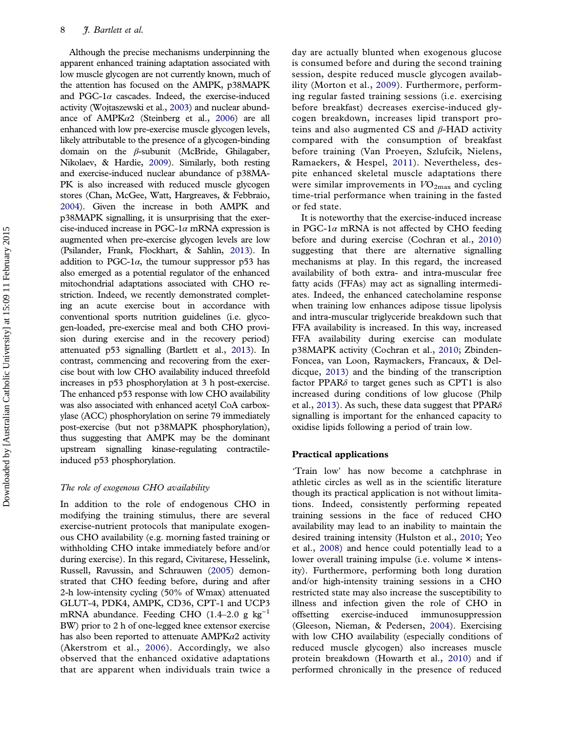Although the precise mechanisms underpinning the apparent enhanced training adaptation associated with low muscle glycogen are not currently known, much of the attention has focused on the AMPK, p38MAPK and PGC-1 $\alpha$  cascades. Indeed, the exercise-induced activity (Wojtaszewski et al., [2003\)](#page-10-0) and nuclear abundance of  $AMPK\alpha2$  (Steinberg et al., [2006](#page-10-0)) are all enhanced with low pre-exercise muscle glycogen levels, likely attributable to the presence of a glycogen-binding domain on the β-subunit (McBride, Ghilagaber, Nikolaev, & Hardie, [2009](#page-9-0)). Similarly, both resting and exercise-induced nuclear abundance of p38MA‐ PK is also increased with reduced muscle glycogen stores (Chan, McGee, Watt, Hargreaves, & Febbraio, [2004](#page-9-0)). Given the increase in both AMPK and p38MAPK signalling, it is unsurprising that the exercise-induced increase in PGC-1 $\alpha$  mRNA expression is augmented when pre-exercise glycogen levels are low (Psilander, Frank, Flockhart, & Sahlin, [2013](#page-10-0)). In addition to PGC-1 $\alpha$ , the tumour suppressor p53 has also emerged as a potential regulator of the enhanced mitochondrial adaptations associated with CHO restriction. Indeed, we recently demonstrated completing an acute exercise bout in accordance with conventional sports nutrition guidelines (i.e. glycogen-loaded, pre-exercise meal and both CHO provision during exercise and in the recovery period) attenuated p53 signalling (Bartlett et al., [2013\)](#page-9-0). In contrast, commencing and recovering from the exercise bout with low CHO availability induced threefold increases in p53 phosphorylation at 3 h post-exercise. The enhanced p53 response with low CHO availability was also associated with enhanced acetyl CoA carboxylase (ACC) phosphorylation on serine 79 immediately post-exercise (but not p38MAPK phosphorylation), thus suggesting that AMPK may be the dominant upstream signalling kinase-regulating contractileinduced p53 phosphorylation.

### The role of exogenous CHO availability

In addition to the role of endogenous CHO in modifying the training stimulus, there are several exercise-nutrient protocols that manipulate exogenous CHO availability (e.g. morning fasted training or withholding CHO intake immediately before and/or during exercise). In this regard, Civitarese, Hesselink, Russell, Ravussin, and Schrauwen ([2005\)](#page-9-0) demonstrated that CHO feeding before, during and after 2-h low-intensity cycling (50% of Wmax) attenuated GLUT-4, PDK4, AMPK, CD36, CPT-1 and UCP3 mRNA abundance. Feeding CHO (1.4–2.0 g kg<sup>-1</sup> BW) prior to 2 h of one-legged knee extensor exercise has also been reported to attenuate  $AMPKa2$  activity (Akerstrom et al., [2006\)](#page-8-0). Accordingly, we also observed that the enhanced oxidative adaptations that are apparent when individuals train twice a

day are actually blunted when exogenous glucose is consumed before and during the second training session, despite reduced muscle glycogen availability (Morton et al., [2009](#page-9-0)). Furthermore, performing regular fasted training sessions (i.e. exercising before breakfast) decreases exercise-induced glycogen breakdown, increases lipid transport proteins and also augmented CS and  $\beta$ -HAD activity compared with the consumption of breakfast before training (Van Proeyen, Szlufcik, Nielens, Ramaekers, & Hespel, [2011](#page-10-0)). Nevertheless, despite enhanced skeletal muscle adaptations there were similar improvements in  $VO_{2\text{max}}$  and cycling time-trial performance when training in the fasted or fed state.

It is noteworthy that the exercise-induced increase in PGC-1 $\alpha$  mRNA is not affected by CHO feeding before and during exercise (Cochran et al., [2010](#page-9-0)) suggesting that there are alternative signalling mechanisms at play. In this regard, the increased availability of both extra- and intra-muscular free fatty acids (FFAs) may act as signalling intermediates. Indeed, the enhanced catecholamine response when training low enhances adipose tissue lipolysis and intra-muscular triglyceride breakdown such that FFA availability is increased. In this way, increased FFA availability during exercise can modulate p38MAPK activity (Cochran et al., [2010](#page-9-0); Zbinden-Foncea, van Loon, Raymackers, Francaux, & Deldicque, [2013\)](#page-10-0) and the binding of the transcription factor PPAR $\delta$  to target genes such as CPT1 is also increased during conditions of low glucose (Philp et al., [2013\)](#page-9-0). As such, these data suggest that  $PPAR\delta$ signalling is important for the enhanced capacity to oxidise lipids following a period of train low.

#### Practical applications

'Train low' has now become a catchphrase in athletic circles as well as in the scientific literature though its practical application is not without limitations. Indeed, consistently performing repeated training sessions in the face of reduced CHO availability may lead to an inability to maintain the desired training intensity (Hulston et al., [2010;](#page-9-0) Yeo et al., [2008](#page-10-0)) and hence could potentially lead to a lower overall training impulse (i.e. volume  $\times$  intensity). Furthermore, performing both long duration and/or high-intensity training sessions in a CHO restricted state may also increase the susceptibility to illness and infection given the role of CHO in offsetting exercise-induced immunosuppression (Gleeson, Nieman, & Pedersen, [2004\)](#page-9-0). Exercising with low CHO availability (especially conditions of reduced muscle glycogen) also increases muscle protein breakdown (Howarth et al., [2010\)](#page-9-0) and if performed chronically in the presence of reduced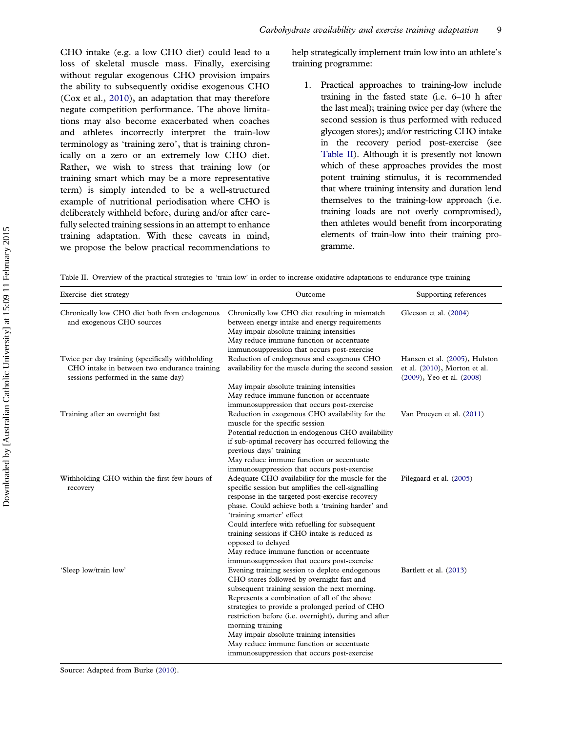CHO intake (e.g. a low CHO diet) could lead to a loss of skeletal muscle mass. Finally, exercising without regular exogenous CHO provision impairs the ability to subsequently oxidise exogenous CHO (Cox et al., [2010\)](#page-9-0), an adaptation that may therefore negate competition performance. The above limitations may also become exacerbated when coaches and athletes incorrectly interpret the train-low terminology as 'training zero', that is training chronically on a zero or an extremely low CHO diet. Rather, we wish to stress that training low (or training smart which may be a more representative term) is simply intended to be a well-structured example of nutritional periodisation where CHO is deliberately withheld before, during and/or after carefully selected training sessions in an attempt to enhance training adaptation. With these caveats in mind, we propose the below practical recommendations to

help strategically implement train low into an athlete's training programme:

1. Practical approaches to training-low include training in the fasted state (i.e. 6–10 h after the last meal); training twice per day (where the second session is thus performed with reduced glycogen stores); and/or restricting CHO intake in the recovery period post-exercise (see Table II). Although it is presently not known which of these approaches provides the most potent training stimulus, it is recommended that where training intensity and duration lend themselves to the training-low approach (i.e. training loads are not overly compromised), then athletes would benefit from incorporating elements of train-low into their training pro‐ gramme.

Table II. Overview of the practical strategies to 'train low' in order to increase oxidative adaptations to endurance type training

| Exercise-diet strategy                                                                                                                  | Outcome                                                                                                                                                                                                                                                                                                                                                                                                                                                             | Supporting references                                                                      |
|-----------------------------------------------------------------------------------------------------------------------------------------|---------------------------------------------------------------------------------------------------------------------------------------------------------------------------------------------------------------------------------------------------------------------------------------------------------------------------------------------------------------------------------------------------------------------------------------------------------------------|--------------------------------------------------------------------------------------------|
| Chronically low CHO diet both from endogenous<br>and exogenous CHO sources                                                              | Chronically low CHO diet resulting in mismatch<br>between energy intake and energy requirements<br>May impair absolute training intensities<br>May reduce immune function or accentuate<br>immunosuppression that occurs post-exercise                                                                                                                                                                                                                              | Gleeson et al. (2004)                                                                      |
| Twice per day training (specifically withholding<br>CHO intake in between two endurance training<br>sessions performed in the same day) | Reduction of endogenous and exogenous CHO<br>availability for the muscle during the second session                                                                                                                                                                                                                                                                                                                                                                  | Hansen et al. (2005), Hulston<br>et al. (2010), Morton et al.<br>(2009), Yeo et al. (2008) |
|                                                                                                                                         | May impair absolute training intensities<br>May reduce immune function or accentuate<br>immunosuppression that occurs post-exercise                                                                                                                                                                                                                                                                                                                                 |                                                                                            |
| Training after an overnight fast                                                                                                        | Reduction in exogenous CHO availability for the<br>muscle for the specific session                                                                                                                                                                                                                                                                                                                                                                                  | Van Proeyen et al. (2011)                                                                  |
|                                                                                                                                         | Potential reduction in endogenous CHO availability<br>if sub-optimal recovery has occurred following the<br>previous days' training<br>May reduce immune function or accentuate<br>immunosuppression that occurs post-exercise                                                                                                                                                                                                                                      |                                                                                            |
| Withholding CHO within the first few hours of<br>recovery                                                                               | Adequate CHO availability for the muscle for the<br>specific session but amplifies the cell-signalling<br>response in the targeted post-exercise recovery<br>phase. Could achieve both a 'training harder' and<br>'training smarter' effect<br>Could interfere with refuelling for subsequent<br>training sessions if CHO intake is reduced as<br>opposed to delayed<br>May reduce immune function or accentuate                                                    | Pilegaard et al. (2005)                                                                    |
| 'Sleep low/train low'                                                                                                                   | immunosuppression that occurs post-exercise<br>Evening training session to deplete endogenous<br>CHO stores followed by overnight fast and<br>subsequent training session the next morning.<br>Represents a combination of all of the above<br>strategies to provide a prolonged period of CHO<br>restriction before (i.e. overnight), during and after<br>morning training<br>May impair absolute training intensities<br>May reduce immune function or accentuate | Bartlett et al. (2013)                                                                     |
|                                                                                                                                         | immunosuppression that occurs post-exercise                                                                                                                                                                                                                                                                                                                                                                                                                         |                                                                                            |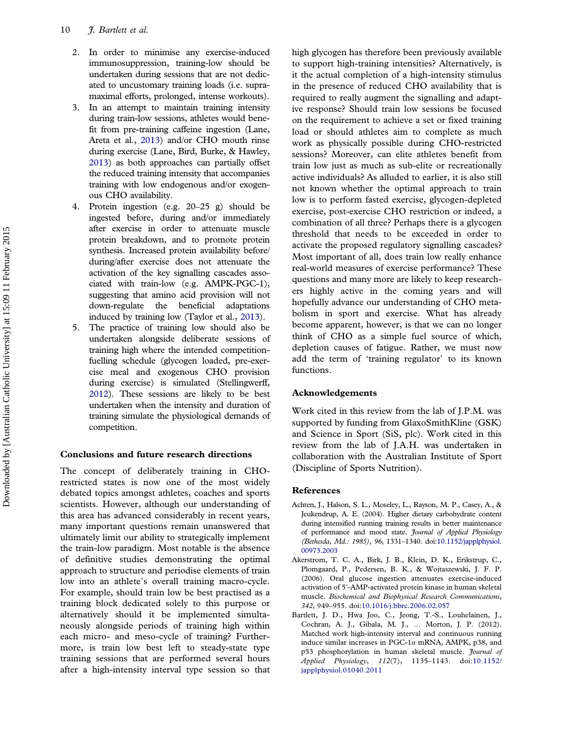- <span id="page-8-0"></span>2. In order to minimise any exercise-induced immunosuppression, training-low should be undertaken during sessions that are not dedicated to uncustomary training loads (i.e. supramaximal efforts, prolonged, intense workouts).
- 3. In an attempt to maintain training intensity during train-low sessions, athletes would benefit from pre-training caffeine ingestion (Lane, Areta et al., [2013](#page-9-0)) and/or CHO mouth rinse during exercise (Lane, Bird, Burke, & Hawley, [2013](#page-9-0)) as both approaches can partially offset the reduced training intensity that accompanies training with low endogenous and/or exogenous CHO availability.
- 4. Protein ingestion (e.g. 20–25 g) should be ingested before, during and/or immediately after exercise in order to attenuate muscle protein breakdown, and to promote protein synthesis. Increased protein availability before/ during/after exercise does not attenuate the activation of the key signalling cascades associated with train-low (e.g. AMPK-PGC-1), suggesting that amino acid provision will not down-regulate the beneficial adaptations induced by training low (Taylor et al., [2013](#page-10-0)).
- 5. The practice of training low should also be undertaken alongside deliberate sessions of training high where the intended competitionfuelling schedule (glycogen loaded, pre-exercise meal and exogenous CHO provision during exercise) is simulated (Stellingwerff, [2012](#page-10-0)). These sessions are likely to be best undertaken when the intensity and duration of training simulate the physiological demands of competition.

### Conclusions and future research directions

The concept of deliberately training in CHOrestricted states is now one of the most widely debated topics amongst athletes, coaches and sports scientists. However, although our understanding of this area has advanced considerably in recent years, many important questions remain unanswered that ultimately limit our ability to strategically implement the train-low paradigm. Most notable is the absence of definitive studies demonstrating the optimal approach to structure and periodise elements of train low into an athlete's overall training macro-cycle. For example, should train low be best practised as a training block dedicated solely to this purpose or alternatively should it be implemented simultaneously alongside periods of training high within each micro- and meso-cycle of training? Furthermore, is train low best left to steady-state type training sessions that are performed several hours after a high-intensity interval type session so that

high glycogen has therefore been previously available to support high-training intensities? Alternatively, is it the actual completion of a high-intensity stimulus in the presence of reduced CHO availability that is required to really augment the signalling and adaptive response? Should train low sessions be focused on the requirement to achieve a set or fixed training load or should athletes aim to complete as much work as physically possible during CHO-restricted sessions? Moreover, can elite athletes benefit from train low just as much as sub-elite or recreationally active individuals? As alluded to earlier, it is also still not known whether the optimal approach to train low is to perform fasted exercise, glycogen-depleted exercise, post-exercise CHO restriction or indeed, a combination of all three? Perhaps there is a glycogen threshold that needs to be exceeded in order to activate the proposed regulatory signalling cascades? Most important of all, does train low really enhance real-world measures of exercise performance? These questions and many more are likely to keep researchers highly active in the coming years and will hopefully advance our understanding of CHO metabolism in sport and exercise. What has already become apparent, however, is that we can no longer think of CHO as a simple fuel source of which, depletion causes of fatigue. Rather, we must now add the term of 'training regulator' to its known functions.

# Acknowledgements

Work cited in this review from the lab of J.P.M. was supported by funding from GlaxoSmithKline (GSK) and Science in Sport (SiS, plc). Work cited in this review from the lab of J.A.H. was undertaken in collaboration with the Australian Institute of Sport (Discipline of Sports Nutrition).

### References

- Achten, J., Halson, S. L., Moseley, L., Rayson, M. P., Casey, A., & Jeukendrup, A. E. (2004). Higher dietary carbohydrate content during intensified running training results in better maintenance of performance and mood state. Journal of Applied Physiology (Bethesda, Md.: 1985), 96, 1331–1340. doi[:10.1152/japplphysiol.](http://dx.doi.org/10.1152/japplphysiol.00973.2003) [00973.2003](http://dx.doi.org/10.1152/japplphysiol.00973.2003)
- Akerstrom, T. C. A., Birk, J. B., Klein, D. K., Erikstrup, C., Plomgaard, P., Pedersen, B. K., & Wojtaszewski, J. F. P. (2006). Oral glucose ingestion attenuates exercise-induced activation of 5′-AMP-activated protein kinase in human skeletal muscle. Biochemical and Biophysical Research Communications, 342, 949–955. doi[:10.1016/j.bbrc.2006.02.057](http://dx.doi.org/10.1016/j.bbrc.2006.02.057)
- Bartlett, J. D., Hwa Joo, C., Jeong, T.-S., Louhelainen, J., Cochran, A. J., Gibala, M. J., … Morton, J. P. (2012). Matched work high-intensity interval and continuous running induce similar increases in PGC-1 $\alpha$  mRNA, AMPK, p38, and p53 phosphorylation in human skeletal muscle. Journal of Applied Physiology, 112(7), 1135–1143. doi:[10.1152/](http://dx.doi.org/10.1152/japplphysiol.01040.2011) [japplphysiol.01040.2011](http://dx.doi.org/10.1152/japplphysiol.01040.2011)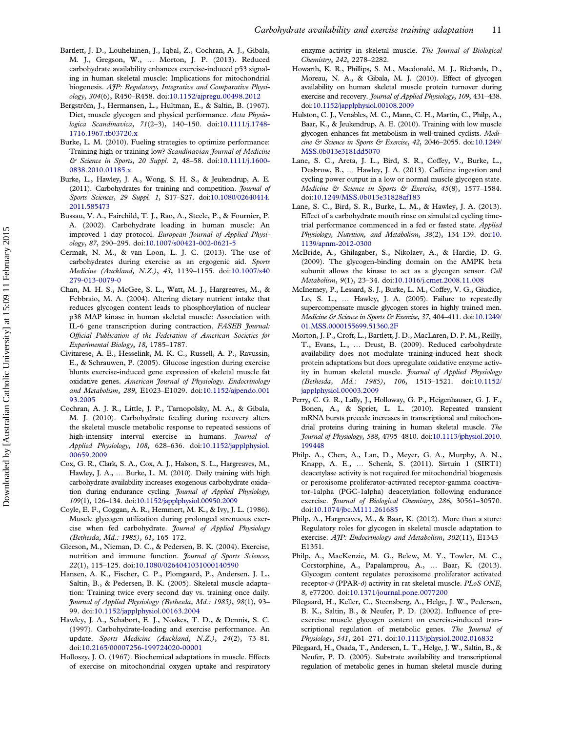- <span id="page-9-0"></span>Bartlett, J. D., Louhelainen, J., Iqbal, Z., Cochran, A. J., Gibala, M. J., Gregson, W., … Morton, J. P. (2013). Reduced carbohydrate availability enhances exercise-induced p53 signaling in human skeletal muscle: Implications for mitochondrial biogenesis. AJP: Regulatory, Integrative and Comparative Physiology, 304(6), R450–R458. doi:[10.1152/ajpregu.00498.2012](http://dx.doi.org/10.1152/ajpregu.00498.2012)
- Bergström, J., Hermansen, L., Hultman, E., & Saltin, B. (1967). Diet, muscle glycogen and physical performance. Acta Physiologica Scandinavica, 71(2–3), 140–150. doi[:10.1111/j.1748-](http://dx.doi.org/10.1111/j.1748-1716.1967.tb03720.x) [1716.1967.tb03720.x](http://dx.doi.org/10.1111/j.1748-1716.1967.tb03720.x)
- Burke, L. M. (2010). Fueling strategies to optimize performance: Training high or training low? Scandinavian Journal of Medicine & Science in Sports, 20 Suppl. 2, 48–58. doi[:10.1111/j.1600-](http://dx.doi.org/10.1111/j.1600-0838.2010.01185.x) [0838.2010.01185.x](http://dx.doi.org/10.1111/j.1600-0838.2010.01185.x)
- Burke, L., Hawley, J. A., Wong, S. H. S., & Jeukendrup, A. E. (2011). Carbohydrates for training and competition. *Journal of* Sports Sciences, 29 Suppl. 1, S17–S27. doi[:10.1080/02640414.](http://dx.doi.org/10.1080/02640414.2011.585473) [2011.585473](http://dx.doi.org/10.1080/02640414.2011.585473)
- Bussau, V. A., Fairchild, T. J., Rao, A., Steele, P., & Fournier, P. A. (2002). Carbohydrate loading in human muscle: An improved 1 day protocol. European Journal of Applied Physiology, 87, 290–295. doi:[10.1007/s00421-002-0621-5](http://dx.doi.org/10.1007/s00421-002-0621-5)
- Cermak, N. M., & van Loon, L. J. C. (2013). The use of carbohydrates during exercise as an ergogenic aid. Sports Medicine (Auckland, N.Z.), 43, 1139–1155. doi:[10.1007/s40](http://dx.doi.org/10.1007/s40279-013-0079-0) [279-013-0079-0](http://dx.doi.org/10.1007/s40279-013-0079-0)
- Chan, M. H. S., McGee, S. L., Watt, M. J., Hargreaves, M., & Febbraio, M. A. (2004). Altering dietary nutrient intake that reduces glycogen content leads to phosphorylation of nuclear p38 MAP kinase in human skeletal muscle: Association with IL-6 gene transcription during contraction. FASEB Journal: Official Publication of the Federation of American Societies for Experimental Biology, 18, 1785–1787.
- Civitarese, A. E., Hesselink, M. K. C., Russell, A. P., Ravussin, E., & Schrauwen, P. (2005). Glucose ingestion during exercise blunts exercise-induced gene expression of skeletal muscle fat oxidative genes. American Journal of Physiology. Endocrinology and Metabolism, 289, E1023–E1029. doi[:10.1152/ajpendo.001](http://dx.doi.org/10.1152/ajpendo.00193.2005) [93.2005](http://dx.doi.org/10.1152/ajpendo.00193.2005)
- Cochran, A. J. R., Little, J. P., Tarnopolsky, M. A., & Gibala, M. J. (2010). Carbohydrate feeding during recovery alters the skeletal muscle metabolic response to repeated sessions of high-intensity interval exercise in humans. Journal of Applied Physiology, 108, 628–636. doi[:10.1152/japplphysiol.](http://dx.doi.org/10.1152/japplphysiol.00659.2009) [00659.2009](http://dx.doi.org/10.1152/japplphysiol.00659.2009)
- Cox, G. R., Clark, S. A., Cox, A. J., Halson, S. L., Hargreaves, M., Hawley, J. A., … Burke, L. M. (2010). Daily training with high carbohydrate availability increases exogenous carbohydrate oxidation during endurance cycling. Journal of Applied Physiology, 109(1), 126–134. doi[:10.1152/japplphysiol.00950.2009](http://dx.doi.org/10.1152/japplphysiol.00950.2009)
- Coyle, E. F., Coggan, A. R., Hemmert, M. K., & Ivy, J. L. (1986). Muscle glycogen utilization during prolonged strenuous exercise when fed carbohydrate. Journal of Applied Physiology (Bethesda, Md.: 1985), 61, 165–172.
- Gleeson, M., Nieman, D. C., & Pedersen, B. K. (2004). Exercise, nutrition and immune function. Journal of Sports Sciences, 22(1), 115–125. doi:[10.1080/0264041031000140590](http://dx.doi.org/10.1080/0264041031000140590)
- Hansen, A. K., Fischer, C. P., Plomgaard, P., Andersen, J. L., Saltin, B., & Pedersen, B. K. (2005). Skeletal muscle adaptation: Training twice every second day vs. training once daily. Journal of Applied Physiology (Bethesda, Md.: 1985), 98(1), 93– 99. doi[:10.1152/japplphysiol.00163.2004](http://dx.doi.org/10.1152/japplphysiol.00163.2004)
- Hawley, J. A., Schabort, E. J., Noakes, T. D., & Dennis, S. C. (1997). Carbohydrate-loading and exercise performance. An update. Sports Medicine (Auckland, N.Z.), 24(2), 73-81. doi:[10.2165/00007256-199724020-00001](http://dx.doi.org/10.2165/00007256-199724020-00001)
- Holloszy, J. O. (1967). Biochemical adaptations in muscle. Effects of exercise on mitochondrial oxygen uptake and respiratory

enzyme activity in skeletal muscle. The Journal of Biological Chemistry, 242, 2278–2282.

- Howarth, K. R., Phillips, S. M., Macdonald, M. J., Richards, D., Moreau, N. A., & Gibala, M. J. (2010). Effect of glycogen availability on human skeletal muscle protein turnover during exercise and recovery. Journal of Applied Physiology, 109, 431-438. doi[:10.1152/japplphysiol.00108.2009](http://dx.doi.org/10.1152/japplphysiol.00108.2009)
- Hulston, C. J., Venables, M. C., Mann, C. H., Martin, C., Philp, A., Baar, K., & Jeukendrup, A. E. (2010). Training with low muscle glycogen enhances fat metabolism in well-trained cyclists. Medicine & Science in Sports & Exercise, 42, 2046–2055. doi[:10.1249/](http://dx.doi.org/10.1249/MSS.0b013e3181dd5070) [MSS.0b013e3181dd5070](http://dx.doi.org/10.1249/MSS.0b013e3181dd5070)
- Lane, S. C., Areta, J. L., Bird, S. R., Coffey, V., Burke, L., Desbrow, B., … Hawley, J. A. (2013). Caffeine ingestion and cycling power output in a low or normal muscle glycogen state. Medicine & Science in Sports & Exercise, 45(8), 1577-1584. doi[:10.1249/MSS.0b013e31828af183](http://dx.doi.org/10.1249/MSS.0b013e31828af183)
- Lane, S. C., Bird, S. R., Burke, L. M., & Hawley, J. A. (2013). Effect of a carbohydrate mouth rinse on simulated cycling timetrial performance commenced in a fed or fasted state. Applied Physiology, Nutrition, and Metabolism, 38(2), 134–139. doi:[10.](http://dx.doi.org/10.1139/apnm-2012-0300) [1139/apnm-2012-0300](http://dx.doi.org/10.1139/apnm-2012-0300)
- McBride, A., Ghilagaber, S., Nikolaev, A., & Hardie, D. G. (2009). The glycogen-binding domain on the AMPK beta subunit allows the kinase to act as a glycogen sensor. Cell Metabolism, 9(1), 23–34. doi:[10.1016/j.cmet.2008.11.008](http://dx.doi.org/10.1016/j.cmet.2008.11.008)
- McInerney, P., Lessard, S. J., Burke, L. M., Coffey, V. G., Giudice, Lo, S. L., … Hawley, J. A. (2005). Failure to repeatedly supercompensate muscle glycogen stores in highly trained men. Medicine & Science in Sports & Exercise, 37, 404-411. doi[:10.1249/](http://dx.doi.org/10.1249/01.MSS.0000155699.51360.2F) [01.MSS.0000155699.51360.2F](http://dx.doi.org/10.1249/01.MSS.0000155699.51360.2F)
- Morton, J. P., Croft, L., Bartlett, J. D., MacLaren, D. P. M., Reilly, T., Evans, L., … Drust, B. (2009). Reduced carbohydrate availability does not modulate training-induced heat shock protein adaptations but does upregulate oxidative enzyme activity in human skeletal muscle. Journal of Applied Physiology (Bethesda, Md.: 1985), 106, 1513–1521. doi:[10.1152/](http://dx.doi.org/10.1152/japplphysiol.00003.2009) [japplphysiol.00003.2009](http://dx.doi.org/10.1152/japplphysiol.00003.2009)
- Perry, C. G. R., Lally, J., Holloway, G. P., Heigenhauser, G. J. F., Bonen, A., & Spriet, L. L. (2010). Repeated transient mRNA bursts precede increases in transcriptional and mitochondrial proteins during training in human skeletal muscle. The Journal of Physiology, 588, 4795–4810. doi[:10.1113/jphysiol.2010.](http://dx.doi.org/10.1113/jphysiol.2010.199448) [199448](http://dx.doi.org/10.1113/jphysiol.2010.199448)
- Philp, A., Chen, A., Lan, D., Meyer, G. A., Murphy, A. N., Knapp, A. E., … Schenk, S. (2011). Sirtuin 1 (SIRT1) deacetylase activity is not required for mitochondrial biogenesis or peroxisome proliferator-activated receptor-gamma coactivator-1alpha (PGC-1alpha) deacetylation following endurance exercise. Journal of Biological Chemistry, 286, 30561-30570. doi[:10.1074/jbc.M111.261685](http://dx.doi.org/10.1074/jbc.M111.261685)
- Philp, A., Hargreaves, M., & Baar, K. (2012). More than a store: Regulatory roles for glycogen in skeletal muscle adaptation to exercise. AJP: Endocrinology and Metabolism, 302(11), E1343-E1351.
- Philp, A., MacKenzie, M. G., Belew, M. Y., Towler, M. C., Corstorphine, A., Papalamprou, A., … Baar, K. (2013). Glycogen content regulates peroxisome proliferator activated receptor-∂ (PPAR-∂) activity in rat skeletal muscle. PLoS ONE, 8, e77200. doi[:10.1371/journal.pone.0077200](http://dx.doi.org/10.1371/journal.pone.0077200)
- Pilegaard, H., Keller, C., Steensberg, A., Helge, J. W., Pedersen, B. K., Saltin, B., & Neufer, P. D. (2002). Influence of preexercise muscle glycogen content on exercise-induced transcriptional regulation of metabolic genes. The Journal of Physiology, 541, 261–271. doi:[10.1113/jphysiol.2002.016832](http://dx.doi.org/10.1113/jphysiol.2002.016832)
- Pilegaard, H., Osada, T., Andersen, L. T., Helge, J. W., Saltin, B., & Neufer, P. D. (2005). Substrate availability and transcriptional regulation of metabolic genes in human skeletal muscle during